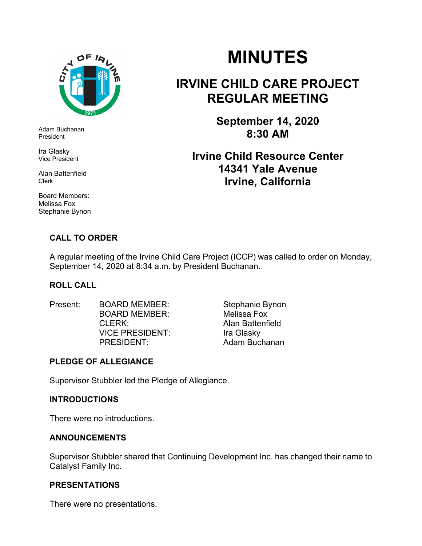

Adam Buchanan President

Ira Glasky Vice President

Alan Battenfield Clerk

Board Members: Melissa Fox Stephanie Bynon

# **MINUTES**

## **IRVINE CHILD CARE PROJECT REGULAR MEETING**

**September 14, 2020 8:30 AM** 

**Irvine Child Resource Center 14341 Yale Avenue Irvine, California** 

#### **CALL TO ORDER**

A regular meeting of the Irvine Child Care Project (ICCP) was called to order on Monday, September 14, 2020 at 8:34 a.m. by President Buchanan.

#### **ROLL CALL**

- Present: BOARD MEMBER: Stephanie Bynon BOARD MEMBER: Melissa Fox CLERK: Alan Battenfield VICE PRESIDENT:Ira Glasky
- PRESIDENT: Adam Buchanan

#### **PLEDGE OF ALLEGIANCE**

Supervisor Stubbler led the Pledge of Allegiance.

#### **INTRODUCTIONS**

There were no introductions.

#### **ANNOUNCEMENTS**

Supervisor Stubbler shared that Continuing Development Inc. has changed their name to Catalyst Family Inc.

#### **PRESENTATIONS**

There were no presentations.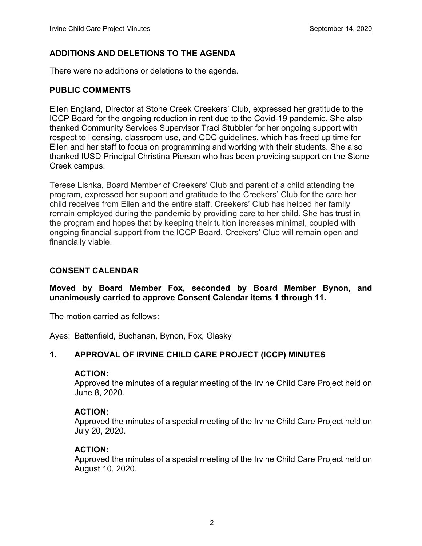#### **ADDITIONS AND DELETIONS TO THE AGENDA**

There were no additions or deletions to the agenda.

#### **PUBLIC COMMENTS**

Ellen England, Director at Stone Creek Creekers' Club, expressed her gratitude to the ICCP Board for the ongoing reduction in rent due to the Covid-19 pandemic. She also thanked Community Services Supervisor Traci Stubbler for her ongoing support with respect to licensing, classroom use, and CDC guidelines, which has freed up time for Ellen and her staff to focus on programming and working with their students. She also thanked IUSD Principal Christina Pierson who has been providing support on the Stone Creek campus.

Terese Lishka, Board Member of Creekers' Club and parent of a child attending the program, expressed her support and gratitude to the Creekers' Club for the care her child receives from Ellen and the entire staff. Creekers' Club has helped her family remain employed during the pandemic by providing care to her child. She has trust in the program and hopes that by keeping their tuition increases minimal, coupled with ongoing financial support from the ICCP Board, Creekers' Club will remain open and financially viable.

#### **CONSENT CALENDAR**

#### **Moved by Board Member Fox, seconded by Board Member Bynon, and unanimously carried to approve Consent Calendar items 1 through 11.**

The motion carried as follows:

Ayes: Battenfield, Buchanan, Bynon, Fox, Glasky

#### **1. APPROVAL OF IRVINE CHILD CARE PROJECT (ICCP) MINUTES**

#### **ACTION:**

Approved the minutes of a regular meeting of the Irvine Child Care Project held on June 8, 2020.

#### **ACTION:**

Approved the minutes of a special meeting of the Irvine Child Care Project held on July 20, 2020.

#### **ACTION:**

Approved the minutes of a special meeting of the Irvine Child Care Project held on August 10, 2020.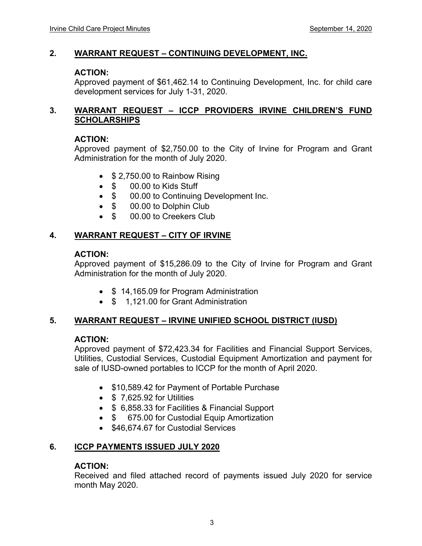#### **2. WARRANT REQUEST – CONTINUING DEVELOPMENT, INC.**

#### **ACTION:**

Approved payment of \$61,462.14 to Continuing Development, Inc. for child care development services for July 1-31, 2020.

#### **3. WARRANT REQUEST – ICCP PROVIDERS IRVINE CHILDREN'S FUND SCHOLARSHIPS**

#### **ACTION:**

Approved payment of \$2,750.00 to the City of Irvine for Program and Grant Administration for the month of July 2020.

- **\$ 2,750.00 to Rainbow Rising**
- \$ 00.00 to Kids Stuff
- \$ 00.00 to Continuing Development Inc.
- \$ 00.00 to Dolphin Club
- \$ 00.00 to Creekers Club

#### **4. WARRANT REQUEST – CITY OF IRVINE**

#### **ACTION:**

Approved payment of \$15,286.09 to the City of Irvine for Program and Grant Administration for the month of July 2020.

- \$14,165.09 for Program Administration
- \$ 1,121.00 for Grant Administration

#### **5. WARRANT REQUEST – IRVINE UNIFIED SCHOOL DISTRICT (IUSD)**

#### **ACTION:**

Approved payment of \$72,423.34 for Facilities and Financial Support Services, Utilities, Custodial Services, Custodial Equipment Amortization and payment for sale of IUSD-owned portables to ICCP for the month of April 2020.

- \$10,589.42 for Payment of Portable Purchase
- $\bullet$  \$ 7,625.92 for Utilities
- \$ 6,858.33 for Facilities & Financial Support
- \$ 675.00 for Custodial Equip Amortization
- \$46,674,67 for Custodial Services

#### **6. ICCP PAYMENTS ISSUED JULY 2020**

#### **ACTION:**

Received and filed attached record of payments issued July 2020 for service month May 2020.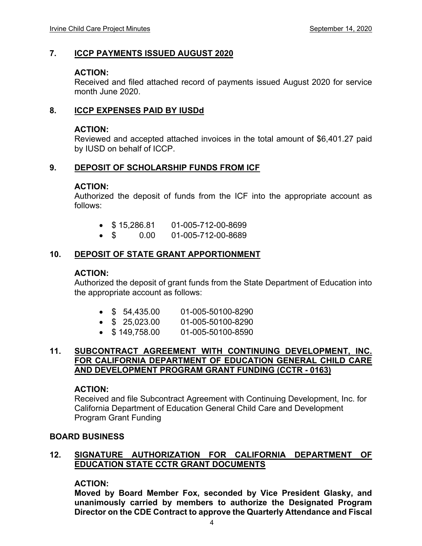#### **7. ICCP PAYMENTS ISSUED AUGUST 2020**

#### **ACTION:**

Received and filed attached record of payments issued August 2020 for service month June 2020.

#### **8. ICCP EXPENSES PAID BY IUSDd**

#### **ACTION:**

Reviewed and accepted attached invoices in the total amount of \$6,401.27 paid by IUSD on behalf of ICCP.

#### **9. DEPOSIT OF SCHOLARSHIP FUNDS FROM ICF**

#### **ACTION:**

Authorized the deposit of funds from the ICF into the appropriate account as follows:

- $\bullet$  \$15.286.81 01-005-712-00-8699
- \$ 0.00 01-005-712-00-8689

#### **10. DEPOSIT OF STATE GRANT APPORTIONMENT**

#### **ACTION:**

Authorized the deposit of grant funds from the State Department of Education into the appropriate account as follows:

- \$ 54,435.00 01-005-50100-8290
- \$ 25,023.00 01-005-50100-8290
- $\bullet$  \$149,758.00 01-005-50100-8590

#### **11. SUBCONTRACT AGREEMENT WITH CONTINUING DEVELOPMENT, INC. FOR CALIFORNIA DEPARTMENT OF EDUCATION GENERAL CHILD CARE AND DEVELOPMENT PROGRAM GRANT FUNDING (CCTR - 0163)**

#### **ACTION:**

Received and file Subcontract Agreement with Continuing Development, Inc. for California Department of Education General Child Care and Development Program Grant Funding

#### **BOARD BUSINESS**

#### **12. SIGNATURE AUTHORIZATION FOR CALIFORNIA DEPARTMENT OF EDUCATION STATE CCTR GRANT DOCUMENTS**

#### **ACTION:**

**Moved by Board Member Fox, seconded by Vice President Glasky, and unanimously carried by members to authorize the Designated Program Director on the CDE Contract to approve the Quarterly Attendance and Fiscal**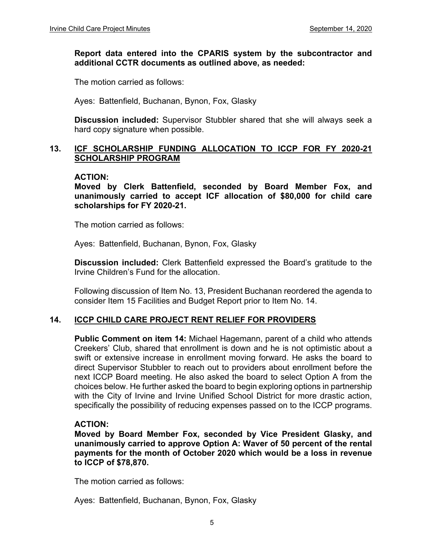#### **Report data entered into the CPARIS system by the subcontractor and additional CCTR documents as outlined above, as needed:**

The motion carried as follows:

Ayes: Battenfield, Buchanan, Bynon, Fox, Glasky

**Discussion included:** Supervisor Stubbler shared that she will always seek a hard copy signature when possible.

#### **13. ICF SCHOLARSHIP FUNDING ALLOCATION TO ICCP FOR FY 2020-21 SCHOLARSHIP PROGRAM**

#### **ACTION:**

**Moved by Clerk Battenfield, seconded by Board Member Fox, and unanimously carried to accept ICF allocation of \$80,000 for child care scholarships for FY 2020-21.**

The motion carried as follows:

Ayes: Battenfield, Buchanan, Bynon, Fox, Glasky

**Discussion included:** Clerk Battenfield expressed the Board's gratitude to the Irvine Children's Fund for the allocation.

Following discussion of Item No. 13, President Buchanan reordered the agenda to consider Item 15 Facilities and Budget Report prior to Item No. 14.

#### **14. ICCP CHILD CARE PROJECT RENT RELIEF FOR PROVIDERS**

**Public Comment on item 14:** Michael Hagemann, parent of a child who attends Creekers' Club, shared that enrollment is down and he is not optimistic about a swift or extensive increase in enrollment moving forward. He asks the board to direct Supervisor Stubbler to reach out to providers about enrollment before the next ICCP Board meeting. He also asked the board to select Option A from the choices below. He further asked the board to begin exploring options in partnership with the City of Irvine and Irvine Unified School District for more drastic action, specifically the possibility of reducing expenses passed on to the ICCP programs.

#### **ACTION:**

**Moved by Board Member Fox, seconded by Vice President Glasky, and unanimously carried to approve Option A: Waver of 50 percent of the rental payments for the month of October 2020 which would be a loss in revenue to ICCP of \$78,870.** 

The motion carried as follows:

Ayes: Battenfield, Buchanan, Bynon, Fox, Glasky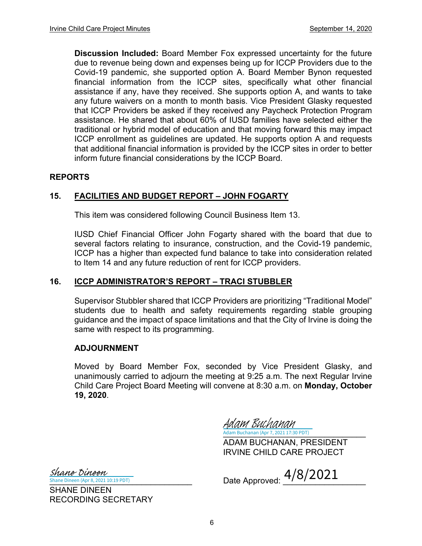**Discussion Included:** Board Member Fox expressed uncertainty for the future due to revenue being down and expenses being up for ICCP Providers due to the Covid-19 pandemic, she supported option A. Board Member Bynon requested financial information from the ICCP sites, specifically what other financial assistance if any, have they received. She supports option A, and wants to take any future waivers on a month to month basis. Vice President Glasky requested that ICCP Providers be asked if they received any Paycheck Protection Program assistance. He shared that about 60% of IUSD families have selected either the traditional or hybrid model of education and that moving forward this may impact ICCP enrollment as guidelines are updated. He supports option A and requests that additional financial information is provided by the ICCP sites in order to better inform future financial considerations by the ICCP Board.

#### **REPORTS**

#### **15. FACILITIES AND BUDGET REPORT – JOHN FOGARTY**

This item was considered following Council Business Item 13.

IUSD Chief Financial Officer John Fogarty shared with the board that due to several factors relating to insurance, construction, and the Covid-19 pandemic, ICCP has a higher than expected fund balance to take into consideration related to Item 14 and any future reduction of rent for ICCP providers.

#### **16. ICCP ADMINISTRATOR'S REPORT – TRACI STUBBLER**

Supervisor Stubbler shared that ICCP Providers are prioritizing "Traditional Model" students due to health and safety requirements regarding stable grouping guidance and the impact of space limitations and that the City of Irvine is doing the same with respect to its programming.

#### **ADJOURNMENT**

Moved by Board Member Fox, seconded by Vice President Glasky, and unanimously carried to adjourn the meeting at 9:25 a.m. The next Regular Irvine Child Care Project Board Meeting will convene at 8:30 a.m. on **Monday, October 19, 2020**.

Adam Buchanan (Apr 7, 2021 17:30 PDT) Adam Buchanan

ADAM BUCHANAN, PRESIDENT IRVINE CHILD CARE PROJECT

 $\frac{Shane\;Dineen\;(Apr 8, 2021\;10:19\;PDT)}{Shane\;Dineen\;(Apr 8, 2021\;10:19\;PDT)}$  Date Approved:  $\frac{4/8/2021}{}$ 

ane Dineen (Apr 8, 2021 10:19 PDT) Shane Dineen

SHANE DINEEN RECORDING SECRETARY